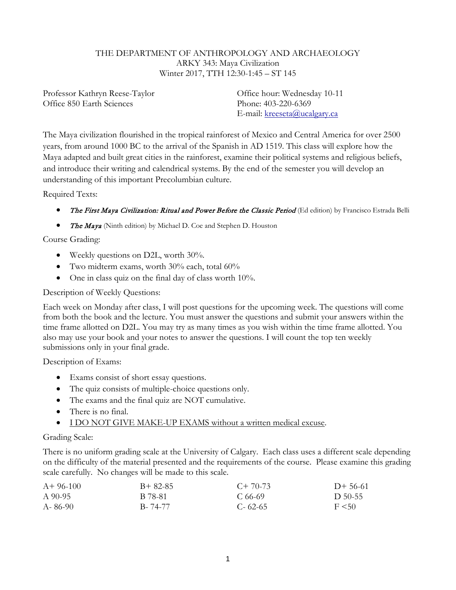## THE DEPARTMENT OF ANTHROPOLOGY AND ARCHAEOLOGY ARKY 343: Maya Civilization Winter 2017, TTH 12:30-1:45 – ST 145

Professor Kathryn Reese-Taylor Office 850 Earth Sciences

Office hour: Wednesday 10-11 Phone: 403-220-6369 E-mail: [kreeseta@ucalgary.ca](mailto:kreeseta@ucalgary.ca)

The Maya civilization flourished in the tropical rainforest of Mexico and Central America for over 2500 years, from around 1000 BC to the arrival of the Spanish in AD 1519. This class will explore how the Maya adapted and built great cities in the rainforest, examine their political systems and religious beliefs, and introduce their writing and calendrical systems. By the end of the semester you will develop an understanding of this important Precolumbian culture.

Required Texts:

• The First Maya Civilization: Ritual and Power Before the Classic Period (Ed edition) by Francisco Estrada Belli

• The Maya (Ninth edition) by Michael D. Coe and Stephen D. Houston

Course Grading:

- Weekly questions on D2L, worth 30%.
- Two midterm exams, worth 30% each, total 60%
- One in class quiz on the final day of class worth 10%.

# Description of Weekly Questions:

Each week on Monday after class, I will post questions for the upcoming week. The questions will come from both the book and the lecture. You must answer the questions and submit your answers within the time frame allotted on D2L. You may try as many times as you wish within the time frame allotted. You also may use your book and your notes to answer the questions. I will count the top ten weekly submissions only in your final grade.

Description of Exams:

- Exams consist of short essay questions.
- The quiz consists of multiple-choice questions only.
- The exams and the final quiz are NOT cumulative.
- There is no final.
- I DO NOT GIVE MAKE-UP EXAMS without a written medical excuse.

# Grading Scale:

There is no uniform grading scale at the University of Calgary. Each class uses a different scale depending on the difficulty of the material presented and the requirements of the course. Please examine this grading scale carefully. No changes will be made to this scale.

| $A+96-100$ | $B+82-85$ | $C+70-73$     | $1)+56-61$ |
|------------|-----------|---------------|------------|
| A 90-95    | B 78-81   | C 66-69       | D 50-55    |
| A-86-90    | B-74-77   | $C - 62 - 65$ | $F \le 50$ |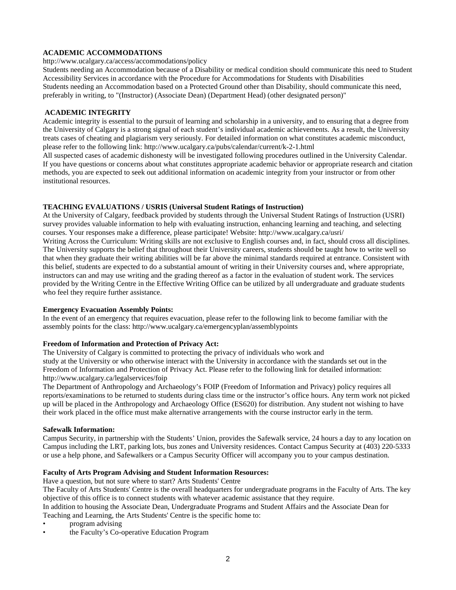### **ACADEMIC ACCOMMODATIONS**

http://www.ucalgary.ca/access/accommodations/policy

Students needing an Accommodation because of a Disability or medical condition should communicate this need to Student Accessibility Services in accordance with the Procedure for Accommodations for Students with Disabilities Students needing an Accommodation based on a Protected Ground other than Disability, should communicate this need, preferably in writing, to "(Instructor) (Associate Dean) (Department Head) (other designated person)"

### **ACADEMIC INTEGRITY**

Academic integrity is essential to the pursuit of learning and scholarship in a university, and to ensuring that a degree from the University of Calgary is a strong signal of each student's individual academic achievements. As a result, the University treats cases of cheating and plagiarism very seriously. For detailed information on what constitutes academic misconduct, please refer to the following link: http://www.ucalgary.ca/pubs/calendar/current/k-2-1.html

All suspected cases of academic dishonesty will be investigated following procedures outlined in the University Calendar. If you have questions or concerns about what constitutes appropriate academic behavior or appropriate research and citation methods, you are expected to seek out additional information on academic integrity from your instructor or from other institutional resources.

### **TEACHING EVALUATIONS / USRIS (Universal Student Ratings of Instruction)**

At the University of Calgary, feedback provided by students through the Universal Student Ratings of Instruction (USRI) survey provides valuable information to help with evaluating instruction, enhancing learning and teaching, and selecting courses. Your responses make a difference, please participate! Website: http://www.ucalgary.ca/usri/

Writing Across the Curriculum: Writing skills are not exclusive to English courses and, in fact, should cross all disciplines. The University supports the belief that throughout their University careers, students should be taught how to write well so that when they graduate their writing abilities will be far above the minimal standards required at entrance. Consistent with this belief, students are expected to do a substantial amount of writing in their University courses and, where appropriate, instructors can and may use writing and the grading thereof as a factor in the evaluation of student work. The services provided by the Writing Centre in the Effective Writing Office can be utilized by all undergraduate and graduate students who feel they require further assistance.

### **Emergency Evacuation Assembly Points:**

In the event of an emergency that requires evacuation, please refer to the following link to become familiar with the assembly points for the class: http://www.ucalgary.ca/emergencyplan/assemblypoints

### **Freedom of Information and Protection of Privacy Act:**

The University of Calgary is committed to protecting the privacy of individuals who work and study at the University or who otherwise interact with the University in accordance with the standards set out in the Freedom of Information and Protection of Privacy Act. Please refer to the following link for detailed information: http://www.ucalgary.ca/legalservices/foip

The Department of Anthropology and Archaeology's FOIP (Freedom of Information and Privacy) policy requires all reports/examinations to be returned to students during class time or the instructor's office hours. Any term work not picked up will be placed in the Anthropology and Archaeology Office (ES620) for distribution. Any student not wishing to have their work placed in the office must make alternative arrangements with the course instructor early in the term.

### **Safewalk Information:**

Campus Security, in partnership with the Students' Union, provides the Safewalk service, 24 hours a day to any location on Campus including the LRT, parking lots, bus zones and University residences. Contact Campus Security at (403) 220-5333 or use a help phone, and Safewalkers or a Campus Security Officer will accompany you to your campus destination.

### **Faculty of Arts Program Advising and Student Information Resources:**

Have a question, but not sure where to start? Arts Students' Centre

The Faculty of Arts Students' Centre is the overall headquarters for undergraduate programs in the Faculty of Arts. The key objective of this office is to connect students with whatever academic assistance that they require.

In addition to housing the Associate Dean, Undergraduate Programs and Student Affairs and the Associate Dean for Teaching and Learning, the Arts Students' Centre is the specific home to:

- program advising
- the Faculty's Co-operative Education Program